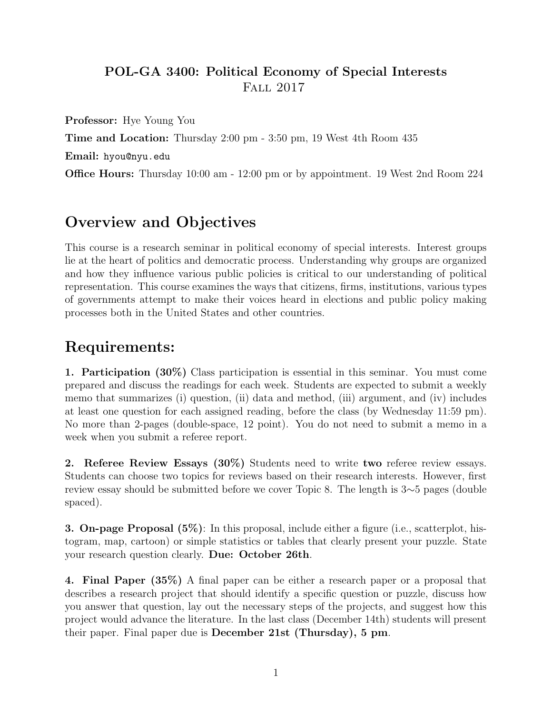## POL-GA 3400: Political Economy of Special Interests Fall 2017

Professor: Hye Young You

Time and Location: Thursday 2:00 pm - 3:50 pm, 19 West 4th Room 435

Email: hyou@nyu.edu

Office Hours: Thursday 10:00 am - 12:00 pm or by appointment. 19 West 2nd Room 224

# Overview and Objectives

This course is a research seminar in political economy of special interests. Interest groups lie at the heart of politics and democratic process. Understanding why groups are organized and how they influence various public policies is critical to our understanding of political representation. This course examines the ways that citizens, firms, institutions, various types of governments attempt to make their voices heard in elections and public policy making processes both in the United States and other countries.

## Requirements:

1. Participation (30%) Class participation is essential in this seminar. You must come prepared and discuss the readings for each week. Students are expected to submit a weekly memo that summarizes (i) question, (ii) data and method, (iii) argument, and (iv) includes at least one question for each assigned reading, before the class (by Wednesday 11:59 pm). No more than 2-pages (double-space, 12 point). You do not need to submit a memo in a week when you submit a referee report.

2. Referee Review Essays (30%) Students need to write two referee review essays. Students can choose two topics for reviews based on their research interests. However, first review essay should be submitted before we cover Topic 8. The length is 3∼5 pages (double spaced).

3. On-page Proposal (5%): In this proposal, include either a figure (i.e., scatterplot, histogram, map, cartoon) or simple statistics or tables that clearly present your puzzle. State your research question clearly. Due: October 26th.

4. Final Paper (35%) A final paper can be either a research paper or a proposal that describes a research project that should identify a specific question or puzzle, discuss how you answer that question, lay out the necessary steps of the projects, and suggest how this project would advance the literature. In the last class (December 14th) students will present their paper. Final paper due is December 21st (Thursday), 5 pm.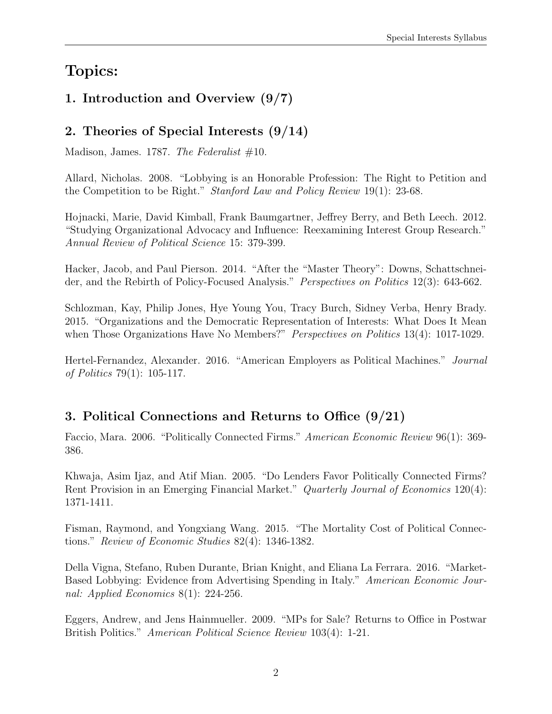# Topics:

## 1. Introduction and Overview (9/7)

## 2. Theories of Special Interests (9/14)

Madison, James. 1787. The Federalist  $#10$ .

Allard, Nicholas. 2008. "Lobbying is an Honorable Profession: The Right to Petition and the Competition to be Right." Stanford Law and Policy Review 19(1): 23-68.

Hojnacki, Marie, David Kimball, Frank Baumgartner, Jeffrey Berry, and Beth Leech. 2012. "Studying Organizational Advocacy and Influence: Reexamining Interest Group Research." Annual Review of Political Science 15: 379-399.

Hacker, Jacob, and Paul Pierson. 2014. "After the "Master Theory": Downs, Schattschneider, and the Rebirth of Policy-Focused Analysis." Perspectives on Politics 12(3): 643-662.

Schlozman, Kay, Philip Jones, Hye Young You, Tracy Burch, Sidney Verba, Henry Brady. 2015. "Organizations and the Democratic Representation of Interests: What Does It Mean when Those Organizations Have No Members?" *Perspectives on Politics* 13(4): 1017-1029.

Hertel-Fernandez, Alexander. 2016. "American Employers as Political Machines." Journal of Politics 79(1): 105-117.

## 3. Political Connections and Returns to Office (9/21)

Faccio, Mara. 2006. "Politically Connected Firms." American Economic Review 96(1): 369- 386.

Khwaja, Asim Ijaz, and Atif Mian. 2005. "Do Lenders Favor Politically Connected Firms? Rent Provision in an Emerging Financial Market." Quarterly Journal of Economics 120(4): 1371-1411.

Fisman, Raymond, and Yongxiang Wang. 2015. "The Mortality Cost of Political Connections." Review of Economic Studies 82(4): 1346-1382.

Della Vigna, Stefano, Ruben Durante, Brian Knight, and Eliana La Ferrara. 2016. "Market-Based Lobbying: Evidence from Advertising Spending in Italy." American Economic Journal: Applied Economics 8(1): 224-256.

Eggers, Andrew, and Jens Hainmueller. 2009. "MPs for Sale? Returns to Office in Postwar British Politics." American Political Science Review 103(4): 1-21.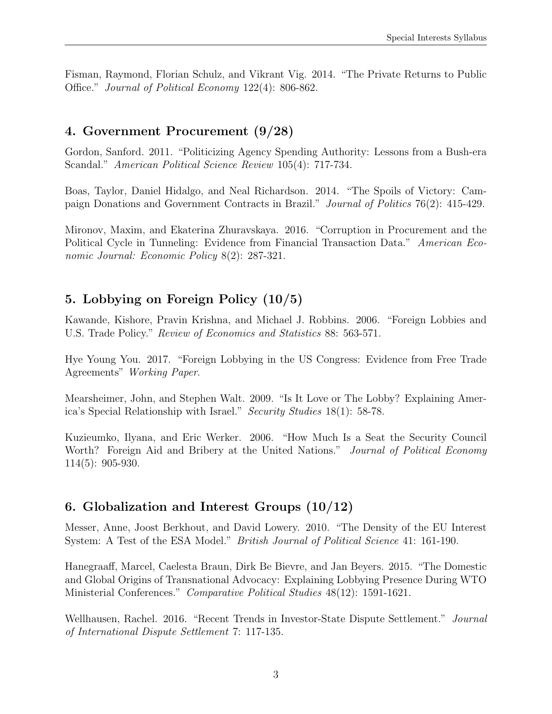Fisman, Raymond, Florian Schulz, and Vikrant Vig. 2014. "The Private Returns to Public Office." Journal of Political Economy 122(4): 806-862.

#### 4. Government Procurement (9/28)

Gordon, Sanford. 2011. "Politicizing Agency Spending Authority: Lessons from a Bush-era Scandal." American Political Science Review 105(4): 717-734.

Boas, Taylor, Daniel Hidalgo, and Neal Richardson. 2014. "The Spoils of Victory: Campaign Donations and Government Contracts in Brazil." Journal of Politics 76(2): 415-429.

Mironov, Maxim, and Ekaterina Zhuravskaya. 2016. "Corruption in Procurement and the Political Cycle in Tunneling: Evidence from Financial Transaction Data." American Economic Journal: Economic Policy 8(2): 287-321.

### 5. Lobbying on Foreign Policy (10/5)

Kawande, Kishore, Pravin Krishna, and Michael J. Robbins. 2006. "Foreign Lobbies and U.S. Trade Policy." Review of Economics and Statistics 88: 563-571.

Hye Young You. 2017. "Foreign Lobbying in the US Congress: Evidence from Free Trade Agreements" Working Paper.

Mearsheimer, John, and Stephen Walt. 2009. "Is It Love or The Lobby? Explaining America's Special Relationship with Israel." Security Studies 18(1): 58-78.

Kuzieumko, Ilyana, and Eric Werker. 2006. "How Much Is a Seat the Security Council Worth? Foreign Aid and Bribery at the United Nations." *Journal of Political Economy* 114(5): 905-930.

#### 6. Globalization and Interest Groups  $(10/12)$

Messer, Anne, Joost Berkhout, and David Lowery. 2010. "The Density of the EU Interest System: A Test of the ESA Model." British Journal of Political Science 41: 161-190.

Hanegraaff, Marcel, Caelesta Braun, Dirk Be Bievre, and Jan Beyers. 2015. "The Domestic and Global Origins of Transnational Advocacy: Explaining Lobbying Presence During WTO Ministerial Conferences." Comparative Political Studies 48(12): 1591-1621.

Wellhausen, Rachel. 2016. "Recent Trends in Investor-State Dispute Settlement." Journal of International Dispute Settlement 7: 117-135.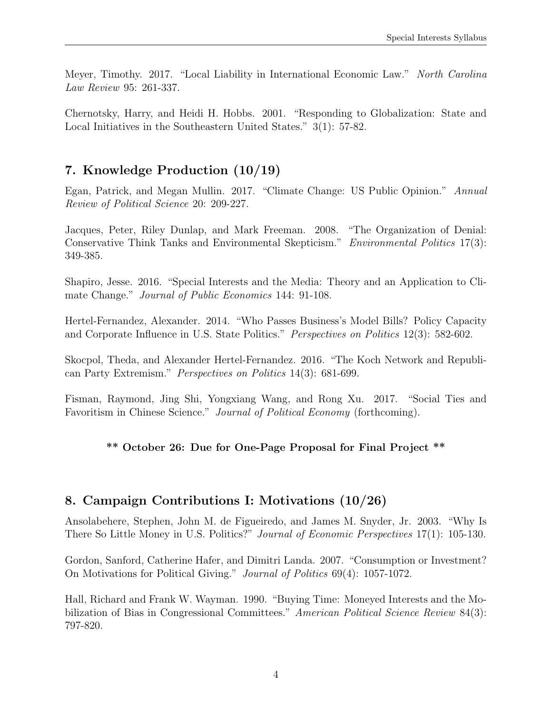Meyer, Timothy. 2017. "Local Liability in International Economic Law." North Carolina Law Review 95: 261-337.

Chernotsky, Harry, and Heidi H. Hobbs. 2001. "Responding to Globalization: State and Local Initiatives in the Southeastern United States." 3(1): 57-82.

## 7. Knowledge Production (10/19)

Egan, Patrick, and Megan Mullin. 2017. "Climate Change: US Public Opinion." Annual Review of Political Science 20: 209-227.

Jacques, Peter, Riley Dunlap, and Mark Freeman. 2008. "The Organization of Denial: Conservative Think Tanks and Environmental Skepticism." Environmental Politics 17(3): 349-385.

Shapiro, Jesse. 2016. "Special Interests and the Media: Theory and an Application to Climate Change." Journal of Public Economics 144: 91-108.

Hertel-Fernandez, Alexander. 2014. "Who Passes Business's Model Bills? Policy Capacity and Corporate Influence in U.S. State Politics." Perspectives on Politics 12(3): 582-602.

Skocpol, Theda, and Alexander Hertel-Fernandez. 2016. "The Koch Network and Republican Party Extremism." Perspectives on Politics 14(3): 681-699.

Fisman, Raymond, Jing Shi, Yongxiang Wang, and Rong Xu. 2017. "Social Ties and Favoritism in Chinese Science." Journal of Political Economy (forthcoming).

#### \*\* October 26: Due for One-Page Proposal for Final Project \*\*

#### 8. Campaign Contributions I: Motivations (10/26)

Ansolabehere, Stephen, John M. de Figueiredo, and James M. Snyder, Jr. 2003. "Why Is There So Little Money in U.S. Politics?" Journal of Economic Perspectives 17(1): 105-130.

Gordon, Sanford, Catherine Hafer, and Dimitri Landa. 2007. "Consumption or Investment? On Motivations for Political Giving." Journal of Politics 69(4): 1057-1072.

Hall, Richard and Frank W. Wayman. 1990. "Buying Time: Moneyed Interests and the Mobilization of Bias in Congressional Committees." American Political Science Review 84(3): 797-820.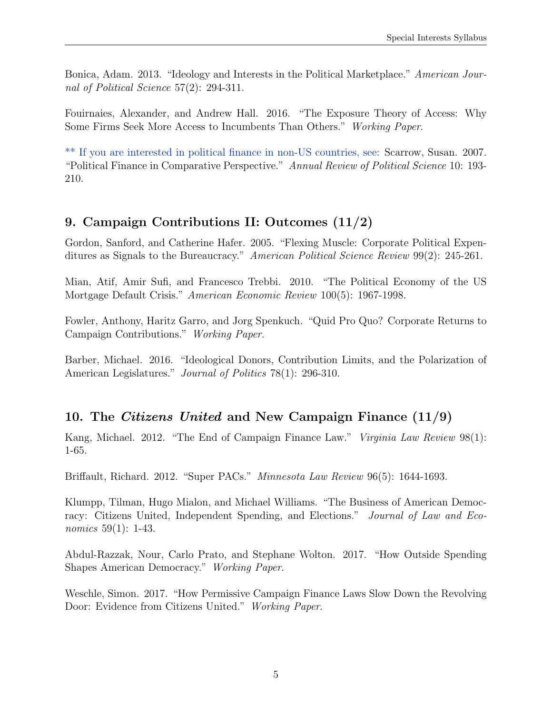Bonica, Adam. 2013. "Ideology and Interests in the Political Marketplace." American Journal of Political Science 57(2): 294-311.

Fouirnaies, Alexander, and Andrew Hall. 2016. "The Exposure Theory of Access: Why Some Firms Seek More Access to Incumbents Than Others." Working Paper.

\*\* If you are interested in political finance in non-US countries, see: Scarrow, Susan. 2007. "Political Finance in Comparative Perspective." Annual Review of Political Science 10: 193- 210.

### 9. Campaign Contributions II: Outcomes (11/2)

Gordon, Sanford, and Catherine Hafer. 2005. "Flexing Muscle: Corporate Political Expenditures as Signals to the Bureaucracy." American Political Science Review 99(2): 245-261.

Mian, Atif, Amir Sufi, and Francesco Trebbi. 2010. "The Political Economy of the US Mortgage Default Crisis." American Economic Review 100(5): 1967-1998.

Fowler, Anthony, Haritz Garro, and Jorg Spenkuch. "Quid Pro Quo? Corporate Returns to Campaign Contributions." Working Paper.

Barber, Michael. 2016. "Ideological Donors, Contribution Limits, and the Polarization of American Legislatures." *Journal of Politics* 78(1): 296-310.

### 10. The Citizens United and New Campaign Finance (11/9)

Kang, Michael. 2012. "The End of Campaign Finance Law." *Virginia Law Review* 98(1): 1-65.

Briffault, Richard. 2012. "Super PACs." Minnesota Law Review 96(5): 1644-1693.

Klumpp, Tilman, Hugo Mialon, and Michael Williams. "The Business of American Democracy: Citizens United, Independent Spending, and Elections." Journal of Law and Economics 59(1): 1-43.

Abdul-Razzak, Nour, Carlo Prato, and Stephane Wolton. 2017. "How Outside Spending Shapes American Democracy." Working Paper.

Weschle, Simon. 2017. "How Permissive Campaign Finance Laws Slow Down the Revolving Door: Evidence from Citizens United." Working Paper.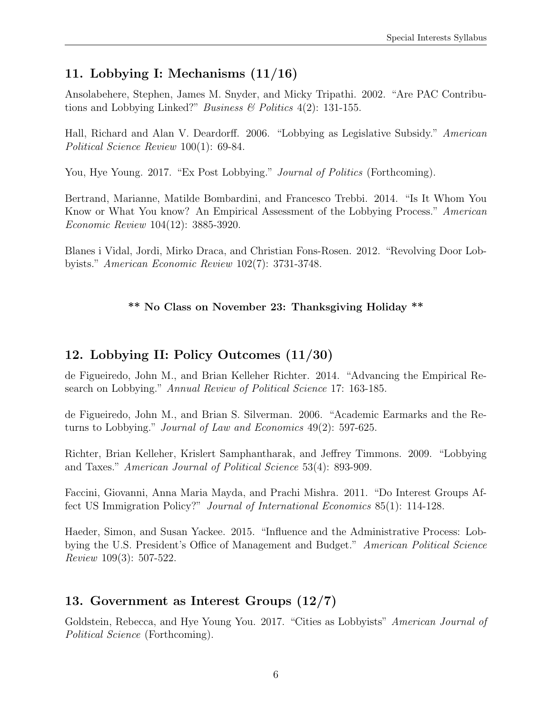## 11. Lobbying I: Mechanisms (11/16)

Ansolabehere, Stephen, James M. Snyder, and Micky Tripathi. 2002. "Are PAC Contributions and Lobbying Linked?" *Business*  $\&$  *Politics* 4(2): 131-155.

Hall, Richard and Alan V. Deardorff. 2006. "Lobbying as Legislative Subsidy." American Political Science Review 100(1): 69-84.

You, Hye Young. 2017. "Ex Post Lobbying." *Journal of Politics* (Forthcoming).

Bertrand, Marianne, Matilde Bombardini, and Francesco Trebbi. 2014. "Is It Whom You Know or What You know? An Empirical Assessment of the Lobbying Process." American Economic Review 104(12): 3885-3920.

Blanes i Vidal, Jordi, Mirko Draca, and Christian Fons-Rosen. 2012. "Revolving Door Lobbyists." American Economic Review 102(7): 3731-3748.

#### \*\* No Class on November 23: Thanksgiving Holiday \*\*

#### 12. Lobbying II: Policy Outcomes (11/30)

de Figueiredo, John M., and Brian Kelleher Richter. 2014. "Advancing the Empirical Research on Lobbying." Annual Review of Political Science 17: 163-185.

de Figueiredo, John M., and Brian S. Silverman. 2006. "Academic Earmarks and the Returns to Lobbying." Journal of Law and Economics 49(2): 597-625.

Richter, Brian Kelleher, Krislert Samphantharak, and Jeffrey Timmons. 2009. "Lobbying and Taxes." American Journal of Political Science 53(4): 893-909.

Faccini, Giovanni, Anna Maria Mayda, and Prachi Mishra. 2011. "Do Interest Groups Affect US Immigration Policy?" Journal of International Economics 85(1): 114-128.

Haeder, Simon, and Susan Yackee. 2015. "Influence and the Administrative Process: Lobbying the U.S. President's Office of Management and Budget." American Political Science Review 109(3): 507-522.

### 13. Government as Interest Groups (12/7)

Goldstein, Rebecca, and Hye Young You. 2017. "Cities as Lobbyists" American Journal of Political Science (Forthcoming).